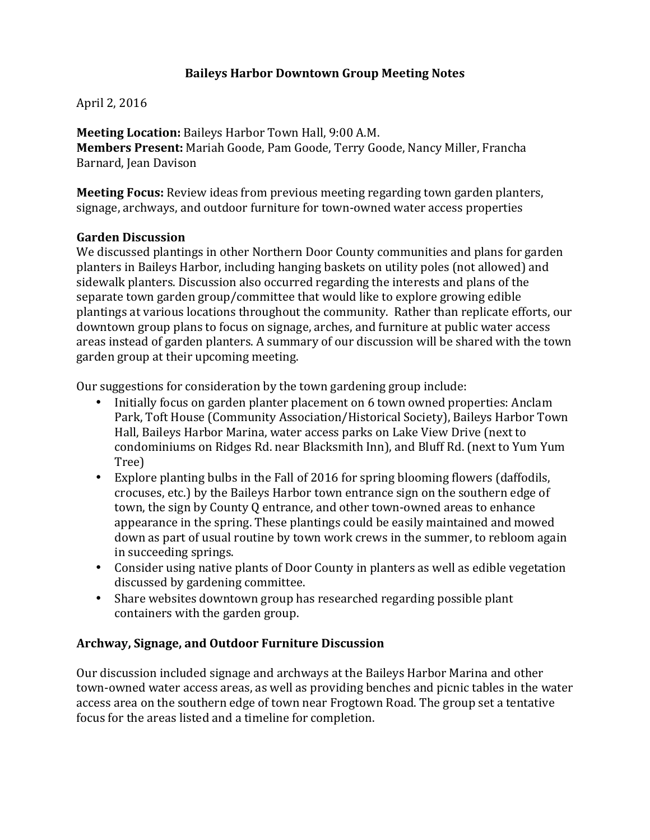## **Baileys Harbor Downtown Group Meeting Notes**

April 2, 2016

**Meeting Location:** Baileys Harbor Town Hall, 9:00 A.M. **Members Present:** Mariah Goode, Pam Goode, Terry Goode, Nancy Miller, Francha Barnard, Jean Davison

**Meeting Focus:** Review ideas from previous meeting regarding town garden planters, signage, archways, and outdoor furniture for town-owned water access properties

#### **Garden Discussion**

We discussed plantings in other Northern Door County communities and plans for garden planters in Baileys Harbor, including hanging baskets on utility poles (not allowed) and sidewalk planters. Discussion also occurred regarding the interests and plans of the separate town garden group/committee that would like to explore growing edible plantings at various locations throughout the community. Rather than replicate efforts, our downtown group plans to focus on signage, arches, and furniture at public water access areas instead of garden planters. A summary of our discussion will be shared with the town garden group at their upcoming meeting.

Our suggestions for consideration by the town gardening group include:

- Initially focus on garden planter placement on 6 town owned properties: Anclam Park, Toft House (Community Association/Historical Society), Baileys Harbor Town Hall, Baileys Harbor Marina, water access parks on Lake View Drive (next to condominiums on Ridges Rd. near Blacksmith Inn), and Bluff Rd. (next to Yum Yum Tree)
- Explore planting bulbs in the Fall of 2016 for spring blooming flowers (daffodils, crocuses, etc.) by the Baileys Harbor town entrance sign on the southern edge of town, the sign by County Q entrance, and other town-owned areas to enhance appearance in the spring. These plantings could be easily maintained and mowed down as part of usual routine by town work crews in the summer, to rebloom again in succeeding springs.
- Consider using native plants of Door County in planters as well as edible vegetation discussed by gardening committee.
- Share websites downtown group has researched regarding possible plant containers with the garden group.

#### **Archway, Signage, and Outdoor Furniture Discussion**

Our discussion included signage and archways at the Baileys Harbor Marina and other town-owned water access areas, as well as providing benches and picnic tables in the water access area on the southern edge of town near Frogtown Road. The group set a tentative focus for the areas listed and a timeline for completion.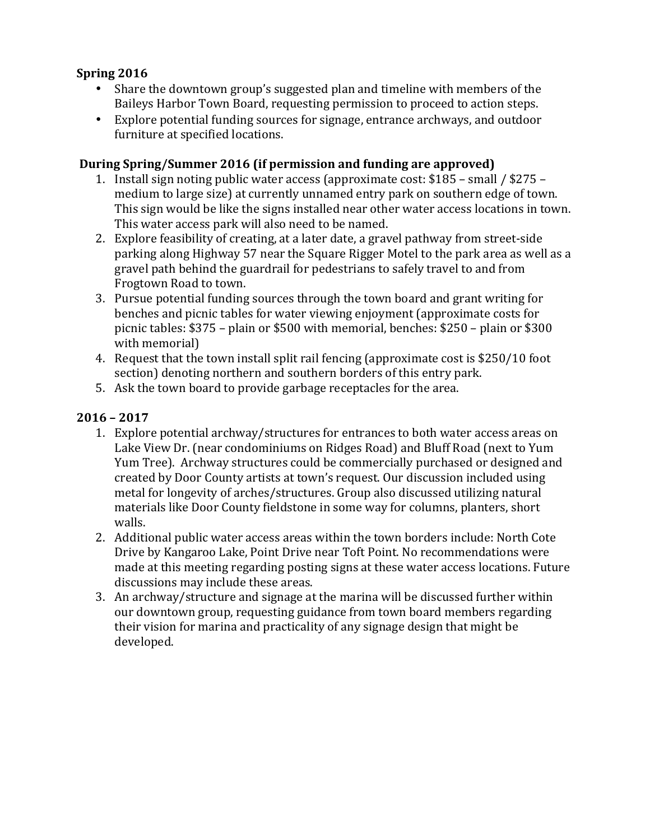# **Spring 2016**

- Share the downtown group's suggested plan and timeline with members of the Baileys Harbor Town Board, requesting permission to proceed to action steps.
- Explore potential funding sources for signage, entrance archways, and outdoor furniture at specified locations.

### **During Spring/Summer 2016 (if permission and funding are approved)**

- 1. Install sign noting public water access (approximate cost: \$185 small / \$275 medium to large size) at currently unnamed entry park on southern edge of town. This sign would be like the signs installed near other water access locations in town. This water access park will also need to be named.
- 2. Explore feasibility of creating, at a later date, a gravel pathway from street-side parking along Highway 57 near the Square Rigger Motel to the park area as well as a gravel path behind the guardrail for pedestrians to safely travel to and from Frogtown Road to town.
- 3. Pursue potential funding sources through the town board and grant writing for benches and picnic tables for water viewing enjoyment (approximate costs for picnic tables:  $$375$  – plain or  $$500$  with memorial, benches:  $$250$  – plain or  $$300$ with memorial)
- 4. Request that the town install split rail fencing (approximate cost is \$250/10 foot section) denoting northern and southern borders of this entry park.
- 5. Ask the town board to provide garbage receptacles for the area.

## **2016 – 2017**

- 1. Explore potential archway/structures for entrances to both water access areas on Lake View Dr. (near condominiums on Ridges Road) and Bluff Road (next to Yum Yum Tree). Archway structures could be commercially purchased or designed and created by Door County artists at town's request. Our discussion included using metal for longevity of arches/structures. Group also discussed utilizing natural materials like Door County fieldstone in some way for columns, planters, short walls.
- 2. Additional public water access areas within the town borders include: North Cote Drive by Kangaroo Lake, Point Drive near Toft Point. No recommendations were made at this meeting regarding posting signs at these water access locations. Future discussions may include these areas.
- 3. An archway/structure and signage at the marina will be discussed further within our downtown group, requesting guidance from town board members regarding their vision for marina and practicality of any signage design that might be developed.